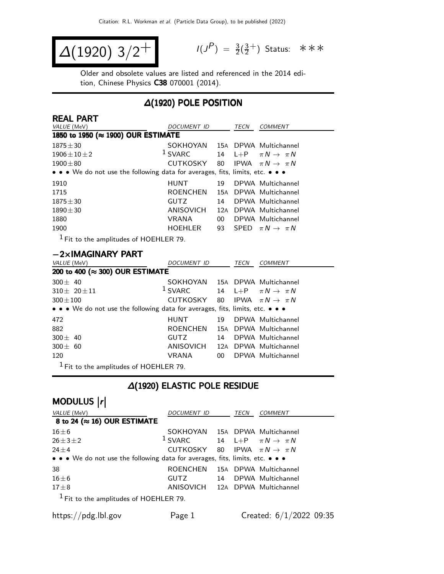$$
\Delta(1920) \frac{3}{2}^{+}
$$

 $P$ ) =  $\frac{3}{2}(\frac{3}{2})$  $\frac{3}{2}^+$ ) Status: \*\*\*

Older and obsolete values are listed and referenced in the 2014 edition, Chinese Physics C38 070001 (2014).

### ∆(1920) POLE POSITION

| <b>REAL PART</b>                                                                                                      |                    |        |      |                                |
|-----------------------------------------------------------------------------------------------------------------------|--------------------|--------|------|--------------------------------|
| VALUE (MeV)                                                                                                           | <b>DOCUMENT ID</b> |        | TECN | COMMENT                        |
| 1850 to 1950 (≈ 1900) OUR ESTIMATE                                                                                    |                    |        |      |                                |
| $1875 \pm 30$                                                                                                         | SOKHOYAN           |        |      | 15A DPWA Multichannel          |
| $1906 \pm 10 \pm 2$                                                                                                   | $1$ SVARC          | 14     |      | L+P $\pi N \rightarrow \pi N$  |
| $1900 \pm 80$                                                                                                         | CUTKOSKY           | 80     |      | IPWA $\pi N \rightarrow \pi N$ |
| $\bullet \bullet \bullet$ We do not use the following data for averages, fits, limits, etc. $\bullet \bullet \bullet$ |                    |        |      |                                |
| 1910                                                                                                                  | <b>HUNT</b>        | 19     |      | DPWA Multichannel              |
| 1715                                                                                                                  | <b>ROENCHEN</b>    |        |      | 15A DPWA Multichannel          |
| $1875 \pm 30$                                                                                                         | <b>GUTZ</b>        | 14     |      | DPWA Multichannel              |
| $1890 \pm 30$                                                                                                         | ANISOVICH          | 12A    |      | DPWA Multichannel              |
| 1880                                                                                                                  | <b>VRANA</b>       | $00\,$ |      | DPWA Multichannel              |
| 1900                                                                                                                  | <b>HOEHLER</b>     | 93     |      | SPFD $\pi N \rightarrow \pi N$ |
| $1 -$                                                                                                                 |                    |        |      |                                |

 $<sup>1</sup>$  Fit to the amplitudes of HOEHLER 79.</sup>

### −2×IMAGINARY PART

| VALUE (MeV)                                                                   | <i>DOCUMENT ID</i>                         |     | <b>TECN</b> | <b>COMMENT</b>                |
|-------------------------------------------------------------------------------|--------------------------------------------|-----|-------------|-------------------------------|
| 200 to 400 (≈ 300) OUR ESTIMATE                                               |                                            |     |             |                               |
| $300 \pm 40$                                                                  | SOKHOYAN 15A DPWA Multichannel             |     |             |                               |
| $310 \pm 20 \pm 11$                                                           | $1$ SVARC                                  | 14  |             | L+P $\pi N \rightarrow \pi N$ |
| $300 \pm 100$                                                                 | CUTKOSKY 80 IPWA $\pi N \rightarrow \pi N$ |     |             |                               |
| • • • We do not use the following data for averages, fits, limits, etc. • • • |                                            |     |             |                               |
| 472                                                                           | HUNT                                       | 19  |             | DPWA Multichannel             |
| 882                                                                           | <b>ROENCHEN</b>                            |     |             | 15A DPWA Multichannel         |
| $300 + 40$                                                                    | <b>GUTZ</b>                                | 14  |             | DPWA Multichannel             |
| $300 \pm 60$                                                                  | ANISOVICH                                  | 12A |             | DPWA Multichannel             |
| 120                                                                           | VRANA                                      | 00  |             | DPWA Multichannel             |
| - 1                                                                           |                                            |     |             |                               |

 $<sup>1</sup>$  Fit to the amplitudes of HOEHLER 79.</sup>

### ∆(1920) ELASTIC POLE RESIDUE

# MODULUS  $\vert r \vert$

| VALUE (MeV)                                                                   | DOCUMENT ID                                |    | TECN | COMMENT                          |
|-------------------------------------------------------------------------------|--------------------------------------------|----|------|----------------------------------|
| 8 to 24 ( $\approx$ 16) OUR ESTIMATE                                          |                                            |    |      |                                  |
| $16\pm 6$                                                                     | SOKHOYAN 15A DPWA Multichannel             |    |      |                                  |
| $26 \pm 3 \pm 2$                                                              | $1$ SVARC                                  |    |      | 14 L+P $\pi N \rightarrow \pi N$ |
| $24 \pm 4$                                                                    | CUTKOSKY 80 IPWA $\pi N \rightarrow \pi N$ |    |      |                                  |
| • • • We do not use the following data for averages, fits, limits, etc. • • • |                                            |    |      |                                  |
| 38                                                                            | ROENCHEN                                   |    |      | 15A DPWA Multichannel            |
| $16\pm 6$                                                                     | <b>GUTZ</b>                                | 14 |      | DPWA Multichannel                |
| $17 \pm 8$                                                                    | ANISOVICH 12A DPWA Multichannel            |    |      |                                  |
| $1$ Fit to the amplitudes of HOEHLER 79.                                      |                                            |    |      |                                  |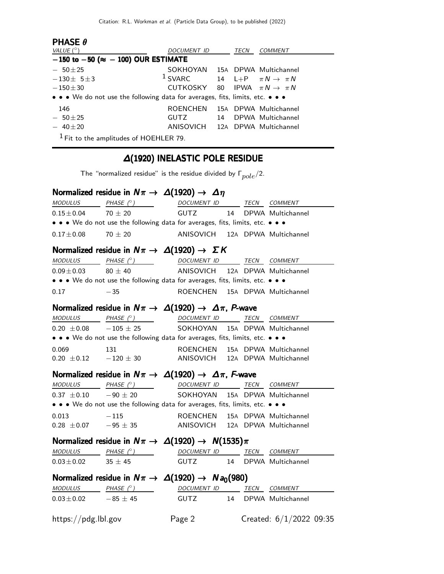| <b>PHASE <math>\theta</math></b><br>VALUE $(^\circ)$                          | DOCUMENT ID                                |    | <b>TECN</b> | COMMENT                          |  |  |
|-------------------------------------------------------------------------------|--------------------------------------------|----|-------------|----------------------------------|--|--|
| $-150$ to $-50$ ( $\approx -100$ ) OUR ESTIMATE                               |                                            |    |             |                                  |  |  |
| $-50\pm 25$                                                                   | SOKHOYAN                                   |    |             | 15A DPWA Multichannel            |  |  |
| $-130+5+3$                                                                    | $1$ SVARC                                  |    |             | 14 L+P $\pi N \rightarrow \pi N$ |  |  |
| $-150\pm30$                                                                   | CUTKOSKY 80 IPWA $\pi N \rightarrow \pi N$ |    |             |                                  |  |  |
| • • • We do not use the following data for averages, fits, limits, etc. • • • |                                            |    |             |                                  |  |  |
| 146                                                                           | <b>ROFNCHEN</b>                            |    |             | 15A DPWA Multichannel            |  |  |
| $-50+25$                                                                      | GUTZ.                                      | 14 |             | DPWA Multichannel                |  |  |
| $-40\pm 20$                                                                   | ANISOVICH 12A DPWA Multichannel            |    |             |                                  |  |  |
| $1$ Fit to the amplitudes of HOEHLER 79.                                      |                                            |    |             |                                  |  |  |

## ∆(1920) INELASTIC POLE RESIDUE

The "normalized residue" is the residue divided by  $\Gamma_{pole}/2$ .

|                               | Normalized residue in $N\pi \to \Delta(1920) \to \Delta\eta$                  |                                 |    |      |                         |
|-------------------------------|-------------------------------------------------------------------------------|---------------------------------|----|------|-------------------------|
| <b>MODULUS</b>                | PHASE $(^\circ)$                                                              | DOCUMENT ID TECN COMMENT        |    |      |                         |
| $0.15 \pm 0.04$               | $70 + 20$                                                                     | <b>GUTZ</b>                     | 14 |      | DPWA Multichannel       |
|                               | • • • We do not use the following data for averages, fits, limits, etc. • • • |                                 |    |      |                         |
| $0.17 \pm 0.08$               | 70 $\pm$ 20                                                                   | ANISOVICH 12A DPWA Multichannel |    |      |                         |
|                               | Normalized residue in $N\pi \to \Delta(1920) \to \Sigma K$                    |                                 |    |      |                         |
| <b>MODULUS</b>                | PHASE (°) DOCUMENT ID TECN COMMENT                                            |                                 |    |      |                         |
| $0.09 \pm 0.03$               | $80 \pm 40$                                                                   | ANISOVICH 12A DPWA Multichannel |    |      |                         |
|                               | • • • We do not use the following data for averages, fits, limits, etc. • • • |                                 |    |      |                         |
| 0.17                          | $-35$                                                                         | ROENCHEN 15A DPWA Multichannel  |    |      |                         |
|                               | Normalized residue in $N\pi \to \Delta(1920) \to \Delta\pi$ , P-wave          |                                 |    |      |                         |
|                               | MODULUS PHASE (°) DOCUMENT ID TECN COMMENT                                    |                                 |    |      |                         |
| $0.20 \pm 0.08$ -105 $\pm$ 25 |                                                                               | SOKHOYAN 15A DPWA Multichannel  |    |      |                         |
|                               | • • • We do not use the following data for averages, fits, limits, etc. • • • |                                 |    |      |                         |
| 0.069                         | 131                                                                           | ROENCHEN                        |    |      | 15A DPWA Multichannel   |
|                               | $0.20 \pm 0.12$ $-120 \pm 30$ ANISOVICH 12A DPWA Multichannel                 |                                 |    |      |                         |
|                               | Normalized residue in $N\pi \to \Delta(1920) \to \Delta\pi$ , F-wave          |                                 |    |      |                         |
| <b>MODULUS</b>                | PHASE (°) DOCUMENT ID                                                         |                                 |    | TECN | <b>COMMENT</b>          |
| $0.37 \pm 0.10$ $-90 \pm 20$  |                                                                               | SOKHOYAN 15A DPWA Multichannel  |    |      |                         |
|                               | • • • We do not use the following data for averages, fits, limits, etc. • • • |                                 |    |      |                         |
| 0.013                         | $-115$                                                                        | ROENCHEN 15A DPWA Multichannel  |    |      |                         |
|                               | $0.28 \pm 0.07$ $-95 \pm 35$                                                  | ANISOVICH 12A DPWA Multichannel |    |      |                         |
|                               | Normalized residue in $N\pi \to \Delta(1920) \to N(1535)\pi$                  |                                 |    |      |                         |
| MODULUS                       | PHASE (°)                                                                     | DOCUMENT ID TECN COMMENT        |    |      |                         |
| $0.03 \pm 0.02$ 35 $\pm$ 45   |                                                                               | <b>GUTZ</b>                     |    |      | 14 DPWA Multichannel    |
|                               | Normalized residue in $N\pi \rightarrow \Delta(1920) \rightarrow N a_0(980)$  |                                 |    |      |                         |
|                               | $MODULUS$ PHASE $(°)$                                                         | DOCUMENT ID TECN COMMENT        |    |      |                         |
| $0.03 \pm 0.02$               | $-85 \pm 45$                                                                  | <b>GUTZ</b>                     |    |      | 14 DPWA Multichannel    |
| https://pdg.lbl.gov           |                                                                               | Page 2                          |    |      | Created: 6/1/2022 09:35 |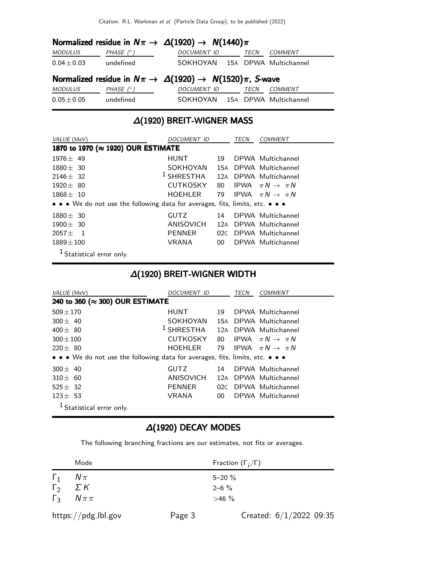| Normalized residue in $N\pi \to \Delta(1920) \to N(1440)\pi$          |                  |                                |  |             |                |  |
|-----------------------------------------------------------------------|------------------|--------------------------------|--|-------------|----------------|--|
| MODULUS                                                               | PHASE $(^\circ)$ | <b>DOCUMENT ID</b>             |  | <b>TECN</b> | <b>COMMENT</b> |  |
| $0.04 \pm 0.03$                                                       | undefined        | SOKHOYAN 15A DPWA Multichannel |  |             |                |  |
| Normalized residue in $N\pi \to \Delta(1920) \to N(1520)\pi$ , S-wave |                  |                                |  |             |                |  |
|                                                                       |                  |                                |  |             |                |  |
| <b>MODULUS</b>                                                        | PHASE $(^\circ)$ | <b>DOCUMENT ID</b>             |  | <i>TECN</i> | COMMENT        |  |

# ∆(1920) BREIT-WIGNER MASS

| VALUE (MeV)                                                                   | DOCUMENT ID        |     | TECN | <i>COMMENT</i>                 |
|-------------------------------------------------------------------------------|--------------------|-----|------|--------------------------------|
| 1870 to 1970 (≈ 1920) OUR ESTIMATE                                            |                    |     |      |                                |
| $1976 + 49$                                                                   | <b>HUNT</b>        | 19  |      | DPWA Multichannel              |
| $1880 + 30$                                                                   | SOKHOYAN           | 15A |      | DPWA Multichannel              |
| $2146 + 32$                                                                   | $1$ SHRESTHA $12A$ |     |      | DPWA Multichannel              |
| $1920 + 80$                                                                   | <b>CUTKOSKY</b>    | 80  | IPWA | $\pi N \rightarrow \pi N$      |
| $1868 \pm 10$                                                                 | HOEHLER            | 79  |      | IPWA $\pi N \rightarrow \pi N$ |
| • • • We do not use the following data for averages, fits, limits, etc. • • • |                    |     |      |                                |
| $1880 \pm 30$                                                                 | <b>GUTZ</b>        | 14  |      | DPWA Multichannel              |
| $1900 \pm 30$                                                                 | ANISOVICH          | 12A |      | DPWA Multichannel              |
| $2057 +$<br>$\overline{\phantom{0}}$                                          | <b>PENNER</b>      |     |      | 02C DPWA Multichannel          |
| $1889 \pm 100$                                                                | VRANA              | 00  |      | DPWA Multichannel              |
| <sup>1</sup> Statistical error only.                                          |                    |     |      |                                |

## ∆(1920) BREIT-WIGNER WIDTH

| VALUE (MeV)                                                                   | <i>DOCUMENT ID</i>                          |                 | TECN | <b>COMMENT</b>                 |
|-------------------------------------------------------------------------------|---------------------------------------------|-----------------|------|--------------------------------|
| 240 to 360 (≈ 300) OUR ESTIMATE                                               |                                             |                 |      |                                |
| $509 \pm 170$                                                                 | <b>HUNT</b>                                 | 19              |      | DPWA Multichannel              |
| $300 + 40$                                                                    | SOKHOYAN                                    |                 |      | 15A DPWA Multichannel          |
| $400 \pm 80$                                                                  | <sup>1</sup> SHRESTHA 12A DPWA Multichannel |                 |      |                                |
| $300 + 100$                                                                   | <b>CUTKOSKY</b>                             | 80              |      | IPWA $\pi N \rightarrow \pi N$ |
| $220 \pm 80$                                                                  | HOEHLER                                     | 79              |      | IPWA $\pi N \rightarrow \pi N$ |
| • • • We do not use the following data for averages, fits, limits, etc. • • • |                                             |                 |      |                                |
| $300 \pm 40$                                                                  | <b>GUTZ</b>                                 | 14              |      | DPWA Multichannel              |
| $310 + 60$                                                                    | ANISOVICH                                   | 12A             |      | DPWA Multichannel              |
| $525 + 32$                                                                    | <b>PENNER</b>                               |                 |      | 02C DPWA Multichannel          |
| $123 \pm 53$                                                                  | VRANA                                       | 00 <sup>1</sup> |      | DPWA Multichannel              |
| <sup>1</sup> Statistical error only.                                          |                                             |                 |      |                                |

### ∆(1920) DECAY MODES

The following branching fractions are our estimates, not fits or averages.

|                        | Mode                |        | Fraction $(\Gamma_i/\Gamma)$ |
|------------------------|---------------------|--------|------------------------------|
| $\mathbf{1}$           | $N\pi$              |        | $5 - 20 \%$                  |
| $\Gamma_2$ $\Sigma K$  |                     |        | $2 - 6 \%$                   |
| $\Gamma_3$ $N \pi \pi$ |                     |        | $>46\%$                      |
|                        | https://pdg.lbl.gov | Page 3 | Created: $6/1/2022$ 09:35    |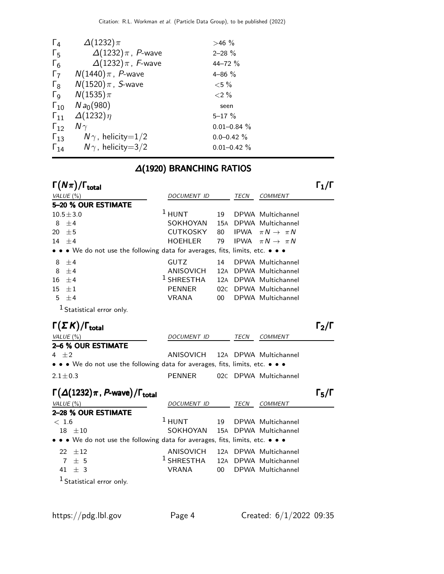| $\Gamma_4$            | $\Delta(1232)\pi$           | $>46\%$          |
|-----------------------|-----------------------------|------------------|
| $\Gamma_{5}$          | $\Delta(1232)\pi$ , P-wave  | $2 - 28 \%$      |
| $\Gamma_6$            | $\Delta(1232)\pi$ , F-wave  | $44 - 72%$       |
| $\Gamma_7$            | $N(1440)\pi$ , P-wave       | $4 - 86 \%$      |
| $\Gamma_8$            | $N(1520)\pi$ , S-wave       | ${<}5\%$         |
| $\Gamma_{\mathsf{Q}}$ | $N(1535)\pi$                | ${<}2\%$         |
| $\Gamma_{10}$         | $N a_0(980)$                | seen             |
| $\Gamma_{11}$         | $\Delta(1232)\eta$          | $5 - 17 \%$      |
| $\Gamma_{12}$         | N $\gamma$                  | $0.01 - 0.84 \%$ |
| $\Gamma_{13}$         | $N\gamma$ , helicity=1/2    | $0.0 - 0.42 \%$  |
| $\Gamma_{14}$         | $N\gamma$ , helicity $=3/2$ | $0.01 - 0.42 \%$ |

### ∆(1920) BRANCHING RATIOS

| $\Gamma(N\pi)/$<br>$^{\prime}$ I total                                        |                 |    |      |                                |  |
|-------------------------------------------------------------------------------|-----------------|----|------|--------------------------------|--|
| VALUE $(\% )$                                                                 | DOCUMENT ID     |    | TECN | <b>COMMENT</b>                 |  |
| 5-20 % OUR ESTIMATE                                                           |                 |    |      |                                |  |
| $10.5 \pm 3.0$                                                                | $1$ HUNT        | 19 |      | DPWA Multichannel              |  |
| $8 + 4$                                                                       | SOKHOYAN        |    |      | 15A DPWA Multichannel          |  |
| 20 $\pm$ 5                                                                    | <b>CUTKOSKY</b> | 80 |      | IPWA $\pi N \rightarrow \pi N$ |  |
| $14 + 4$                                                                      | HOEHLER         | 79 |      | IPWA $\pi N \rightarrow \pi N$ |  |
| • • • We do not use the following data for averages, fits, limits, etc. • • • |                 |    |      |                                |  |
| 8<br>$+4$                                                                     | <b>GUTZ</b>     | 14 |      | DPWA Multichannel              |  |
| 8<br>$+4$                                                                     | ANISOVICH       |    |      | 12A DPWA Multichannel          |  |
| $16 \pm 4$                                                                    | $1$ SHRESTHA    |    |      | 12A DPWA Multichannel          |  |
| 15<br>$\pm 1$                                                                 | <b>PENNER</b>   |    |      | 02C DPWA Multichannel          |  |
| 5.<br>±4                                                                      | <b>VRANA</b>    | 00 |      | DPWA Multichannel              |  |
|                                                                               |                 |    |      |                                |  |

1 Statistical error only.

| $\Gamma(\Sigma K)/\Gamma_{\rm total}$                                         |                                 |      |                       | $\Gamma_2/\Gamma$ |
|-------------------------------------------------------------------------------|---------------------------------|------|-----------------------|-------------------|
| VALUE (%)                                                                     | DOCUMENT ID                     | TECN | COMMENT               |                   |
| 2-6 % OUR ESTIMATE                                                            |                                 |      |                       |                   |
| $4 + 2$                                                                       | ANISOVICH 12A DPWA Multichannel |      |                       |                   |
| • • • We do not use the following data for averages, fits, limits, etc. • • • |                                 |      |                       |                   |
| $2.1 \pm 0.3$                                                                 | PFNNFR                          |      | 02C DPWA Multichannel |                   |

### $\Gamma(\Delta(1232)\pi$  , P-wave) / Γ<sub>total</sub> Γ<sub>5</sub>/Γ VALUE (%) DOCUMENT ID TECN COMMENT 2–28 % OUR ESTIMATE  $< 1.6$ <sup>1</sup> HUNT 19 DPWA Multichannel 18 ±10 SOKHOYAN 15<sup>A</sup> DPWA Multichannel • • • We do not use the following data for averages, fits, limits, etc. • • •  $22 \pm 12$  ANISOVICH 12A DPWA Multichannel<br>  $7 \pm 5$  1 SHRESTHA 12A DPWA Multichannel 7 ± 5 12A DPWA Multichannel 41 ± 3 VRANA 00 DPWA Multichannel 1 Statistical error only.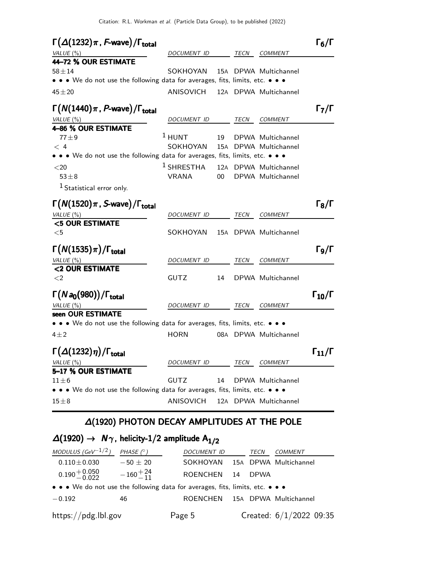| $\Gamma(\Delta(1232)\pi, F$ -wave)/ $\Gamma_{\text{total}}$<br>VALUE (%)                                                   | <b>DOCUMENT ID</b> |     | TECN | <b>COMMENT</b>        | $\Gamma_6/\Gamma$                   |
|----------------------------------------------------------------------------------------------------------------------------|--------------------|-----|------|-----------------------|-------------------------------------|
| 44-72 % OUR ESTIMATE                                                                                                       |                    |     |      |                       |                                     |
| $58 + 14$<br>$\bullet \bullet$ We do not use the following data for averages, fits, limits, etc. $\bullet \bullet \bullet$ | SOKHOYAN           |     |      | 15A DPWA Multichannel |                                     |
| $45 + 20$                                                                                                                  | ANISOVICH          |     |      | 12A DPWA Multichannel |                                     |
| $\Gamma(N(1440)\pi, P$ -wave)/ $\Gamma_{\text{total}}$                                                                     |                    |     |      |                       | $\mathsf{\Gamma}_7/\mathsf{\Gamma}$ |
| VALUE (%)                                                                                                                  | DOCUMENT ID        |     | TECN | <b>COMMENT</b>        |                                     |
| 4-86 % OUR ESTIMATE                                                                                                        |                    |     |      |                       |                                     |
| $77 + 9$                                                                                                                   | $1$ HUNT           | 19  |      | DPWA Multichannel     |                                     |
| < 4                                                                                                                        | SOKHOYAN           | 15A |      | DPWA Multichannel     |                                     |
| • • • We do not use the following data for averages, fits, limits, etc. • • •                                              |                    |     |      |                       |                                     |
| $<$ 20                                                                                                                     | $1$ SHRESTHA       |     |      | 12A DPWA Multichannel |                                     |
| $53\pm8$                                                                                                                   | VRANA              | 00  |      | DPWA Multichannel     |                                     |
| $1$ Statistical error only.                                                                                                |                    |     |      |                       |                                     |
| $\Gamma(N(1520)\pi, S$ -wave)/ $\Gamma_{\text{total}}$                                                                     |                    |     |      |                       | $\Gamma_8/\Gamma$                   |
| VALUE $(\%)$                                                                                                               | <i>DOCUMENT ID</i> |     | TECN | <i>COMMENT</i>        |                                     |
| <5 OUR ESTIMATE                                                                                                            |                    |     |      |                       |                                     |
| $<$ 5                                                                                                                      | SOKHOYAN           |     |      | 15A DPWA Multichannel |                                     |
| $\Gamma(N(1535)\pi)/\Gamma_{\rm total}$                                                                                    |                    |     |      |                       | $\Gamma$ 9/Г                        |
| VALUE $(\%)$                                                                                                               | <i>DOCUMENT ID</i> |     | TECN | <b>COMMENT</b>        |                                     |
| <2 OUR ESTIMATE                                                                                                            |                    |     |      |                       |                                     |
| $\leq$ 2                                                                                                                   | <b>GUTZ</b>        | 14  |      | DPWA Multichannel     |                                     |
| $\Gamma(Na_0(980))/\Gamma_{\rm total}$                                                                                     |                    |     |      |                       | $\Gamma_{10}/\Gamma$                |
| VALUE (%)                                                                                                                  | <i>DOCUMENT ID</i> |     | TECN | <b>COMMENT</b>        |                                     |
| seen OUR ESTIMATE                                                                                                          |                    |     |      |                       |                                     |
| • • • We do not use the following data for averages, fits, limits, etc. • • •                                              |                    |     |      |                       |                                     |
| $4\pm 2$                                                                                                                   | <b>HORN</b>        |     |      | 08A DPWA Multichannel |                                     |
| $\Gamma(\Delta(1232)\eta)/\Gamma_{\rm total}$                                                                              |                    |     |      |                       | $\Gamma_{11}/\Gamma$                |
| VALUE(%)                                                                                                                   | DOCUMENT ID        |     | TECN | <i>COMMENT</i>        |                                     |
| 5-17 % OUR ESTIMATE                                                                                                        |                    |     |      |                       |                                     |
| $11\pm 6$                                                                                                                  | GUTZ               | 14  |      | DPWA Multichannel     |                                     |
| $\bullet\,\bullet\,\bullet$ We do not use the following data for averages, fits, limits, etc. $\bullet\,\bullet\,\bullet$  |                    |     |      |                       |                                     |
| $15\pm8$                                                                                                                   | ANISOVICH          |     |      | 12A DPWA Multichannel |                                     |
|                                                                                                                            |                    |     |      |                       |                                     |

## ∆(1920) PHOTON DECAY AMPLITUDES AT THE POLE

## $\Delta(1920)$  →  $N\gamma$ , helicity-1/2 amplitude  $A_{1/2}$

| MODULUS (GeV <sup>-1/2</sup> )                                                | PHASE $(^\circ)$   | DOCUMENT ID                    |    | TECN        | COMMENT                   |
|-------------------------------------------------------------------------------|--------------------|--------------------------------|----|-------------|---------------------------|
| $0.110 \pm 0.030$                                                             | $-50 + 20$         | SOKHOYAN 15A DPWA Multichannel |    |             |                           |
| $0.190 + 0.050$<br>$-0.022$                                                   | $-160^{+24}_{-11}$ | <b>ROENCHEN</b>                | 14 | <b>DPWA</b> |                           |
| • • • We do not use the following data for averages, fits, limits, etc. • • • |                    |                                |    |             |                           |
| $-0.192$                                                                      | 46                 | <b>ROENCHEN</b>                |    |             | 15A DPWA Multichannel     |
| https://pdg.lbl.gov                                                           |                    | Page 5                         |    |             | Created: $6/1/2022$ 09:35 |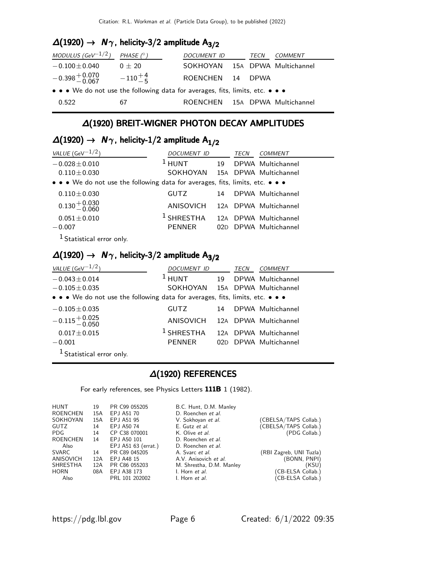## $\Delta(1920)$  →  $N\gamma$ , helicity-3/2 amplitude  $A_{3/2}$

| MODULUS (GeV $^{-1/2}$ )                                                                                              | PHASE $(^\circ)$ | DOCUMENT ID                    | TECN | <i>COMMENT</i> |
|-----------------------------------------------------------------------------------------------------------------------|------------------|--------------------------------|------|----------------|
| $-0.100 \pm 0.040$                                                                                                    | $0 + 20$         | SOKHOYAN 15A DPWA Multichannel |      |                |
| $-0.398 + 0.070$                                                                                                      | $-110^{+4}_{-5}$ | ROENCHEN 14 DPWA               |      |                |
| $\bullet \bullet \bullet$ We do not use the following data for averages, fits, limits, etc. $\bullet \bullet \bullet$ |                  |                                |      |                |
| 0.522                                                                                                                 | 67               | ROENCHEN 15A DPWA Multichannel |      |                |

### ∆(1920) BREIT-WIGNER PHOTON DECAY AMPLITUDES

## $\Delta(1920)$  →  $N\gamma$ , helicity-1/2 amplitude  $A_{1/2}$

| VALUE (GeV $^{-1/2}$ )                                                        | DOCUMENT ID                     |    | TECN | COMMENT               |
|-------------------------------------------------------------------------------|---------------------------------|----|------|-----------------------|
| $-0.028 \pm 0.010$                                                            | $1$ HUNT                        | 19 |      | DPWA Multichannel     |
| $0.110 \pm 0.030$                                                             | SOKHOYAN 15A DPWA Multichannel  |    |      |                       |
| • • • We do not use the following data for averages, fits, limits, etc. • • • |                                 |    |      |                       |
| $0.110 \pm 0.030$                                                             | GUTZ                            | 14 |      | DPWA Multichannel     |
| $0.130 + 0.030$<br>-0.060                                                     | ANISOVICH 12A DPWA Multichannel |    |      |                       |
| $0.051 \pm 0.010$                                                             | $^1$ SHRESTHA                   |    |      | 12A DPWA Multichannel |
| $-0.007$                                                                      | <b>PENNER</b>                   |    |      | 02D DPWA Multichannel |
| <sup>1</sup> Statistical error only.                                          |                                 |    |      |                       |

## $\Delta(1920)$  →  $N_{\gamma}$ , helicity-3/2 amplitude  $A_{3/2}$

| VALUE (GeV $^{-1/2}$ )                                                        | DOCUMENT ID                     |    | TECN | COMMENT               |
|-------------------------------------------------------------------------------|---------------------------------|----|------|-----------------------|
| $-0.043 \pm 0.014$                                                            | $1$ HUNT                        | 19 |      | DPWA Multichannel     |
| $-0.105 \pm 0.035$                                                            | SOKHOYAN 15A DPWA Multichannel  |    |      |                       |
| • • • We do not use the following data for averages, fits, limits, etc. • • • |                                 |    |      |                       |
| $-0.105 \pm 0.035$                                                            | GUTZ                            | 14 |      | DPWA Multichannel     |
| $-0.115 + 0.025$<br>$-0.050$                                                  | ANISOVICH 12A DPWA Multichannel |    |      |                       |
| $0.017 \pm 0.015$                                                             | $1$ SHRESTHA                    |    |      | 12A DPWA Multichannel |
| $-0.001$                                                                      | PENNER                          |    |      | 02D DPWA Multichannel |
| <sup>1</sup> Statistical error only.                                          |                                 |    |      |                       |

### ∆(1920) REFERENCES

For early references, see Physics Letters 111B 1 (1982).

| <b>HUNT</b>     | 19  | PR C99 055205       | B.C. Hunt, D.M. Manley   |                         |
|-----------------|-----|---------------------|--------------------------|-------------------------|
| ROENCHEN        | 15A | EPJ A51 70          | D. Roenchen et al.       |                         |
| SOKHOYAN        | 15A | EPJ A51 95          | V. Sokhoyan et al.       | (CBELSA/TAPS Collab.)   |
| GUTZ            | 14  | EPJ A50 74          | E. Gutz et al.           | (CBELSA/TAPS Collab.)   |
| PDG.            | 14  | CP C38 070001       | K. Olive et al.          | (PDG Collab.)           |
| ROENCHEN        | 14  | EPJ A50 101         | D. Roenchen et al.       |                         |
| Also            |     | EPJ A51 63 (errat.) | D. Roenchen et al.       |                         |
| SVARC           | 14  | PR C89 045205       | A. Svarc et al.          | (RBI Zagreb, UNI Tuzla) |
| ANISOVICH       | 12A | EPJ A48 15          | A.V. Anisovich et al.    | (BONN, PNPI)            |
| <b>SHRESTHA</b> | 12A | PR C86 055203       | M. Shrestha, D.M. Manley | (KSU)                   |
| HORN            | 08A | EPJ A38 173         | I. Horn et al.           | (CB-ELSA Collab.)       |
| Also            |     | PRL 101 202002      | I. Horn et al.           | (CB-ELSA Collab.)       |